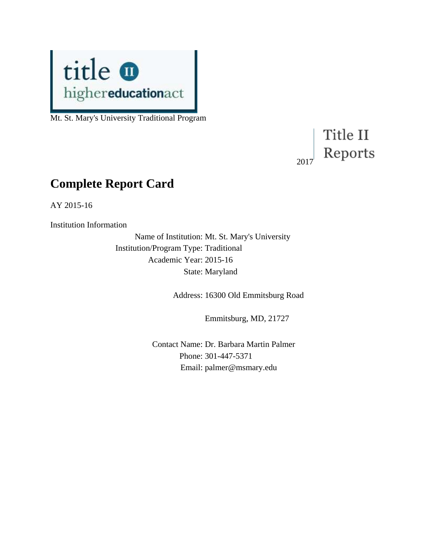

Mt. St. Mary's University Traditional Program

## Title II Reports 2017

# **Complete Report Card**

AY 2015-16

Institution Information

Name of Institution: Mt. St. Mary's University Institution/Program Type: Traditional Academic Year: 2015-16 State: Maryland

Address: 16300 Old Emmitsburg Road

Emmitsburg, MD, 21727

Contact Name: Dr. Barbara Martin Palmer Phone: 301-447-5371 Email: palmer@msmary.edu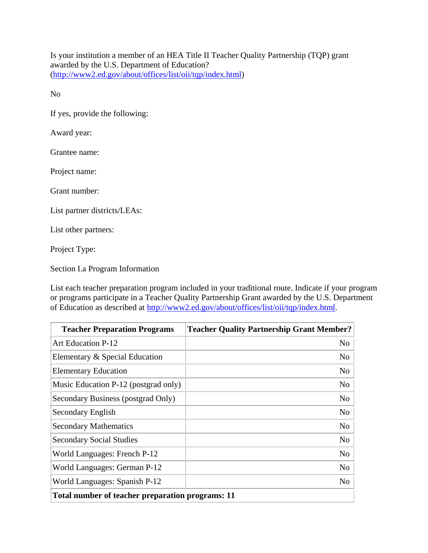Is your institution a member of an HEA Title II Teacher Quality Partnership (TQP) grant awarded by the U.S. Department of Education? [\(http://www2.ed.gov/about/offices/list/oii/tqp/index.html\)](http://www2.ed.gov/about/offices/list/oii/tqp/index.html)

No

If yes, provide the following:

Award year:

Grantee name:

Project name:

Grant number:

List partner districts/LEAs:

List other partners:

Project Type:

Section I.a Program Information

List each teacher preparation program included in your traditional route. Indicate if your program or programs participate in a Teacher Quality Partnership Grant awarded by the U.S. Department of Education as described at [http://www2.ed.gov/about/offices/list/oii/tqp/index.html.](http://www2.ed.gov/about/offices/list/oii/tqp/index.html)

| <b>Teacher Preparation Programs</b>              | <b>Teacher Quality Partnership Grant Member?</b> |  |
|--------------------------------------------------|--------------------------------------------------|--|
| <b>Art Education P-12</b>                        | N <sub>0</sub>                                   |  |
| Elementary & Special Education                   | No                                               |  |
| <b>Elementary Education</b>                      | N <sub>0</sub>                                   |  |
| Music Education P-12 (postgrad only)             | N <sub>0</sub>                                   |  |
| Secondary Business (postgrad Only)               | N <sub>o</sub>                                   |  |
| Secondary English                                | N <sub>o</sub>                                   |  |
| <b>Secondary Mathematics</b>                     | N <sub>o</sub>                                   |  |
| <b>Secondary Social Studies</b>                  | N <sub>o</sub>                                   |  |
| World Languages: French P-12                     | N <sub>o</sub>                                   |  |
| World Languages: German P-12                     | No                                               |  |
| World Languages: Spanish P-12                    | N <sub>0</sub>                                   |  |
| Total number of teacher preparation programs: 11 |                                                  |  |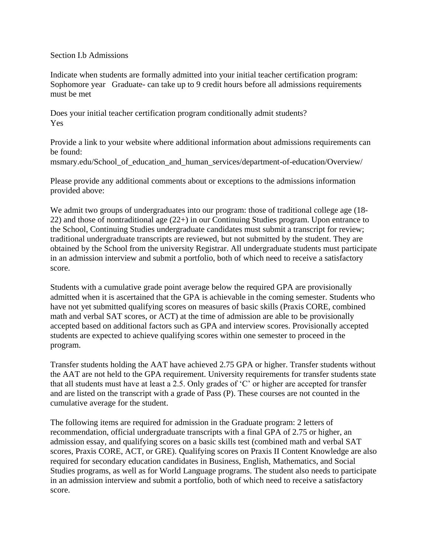#### Section I.b Admissions

Indicate when students are formally admitted into your initial teacher certification program: Sophomore year Graduate- can take up to 9 credit hours before all admissions requirements must be met

Does your initial teacher certification program conditionally admit students? Yes

Provide a link to your website where additional information about admissions requirements can be found:

msmary.edu/School of education and human services/department-of-education/Overview/

Please provide any additional comments about or exceptions to the admissions information provided above:

We admit two groups of undergraduates into our program: those of traditional college age (18-22) and those of nontraditional age (22+) in our Continuing Studies program. Upon entrance to the School, Continuing Studies undergraduate candidates must submit a transcript for review; traditional undergraduate transcripts are reviewed, but not submitted by the student. They are obtained by the School from the university Registrar. All undergraduate students must participate in an admission interview and submit a portfolio, both of which need to receive a satisfactory score.

Students with a cumulative grade point average below the required GPA are provisionally admitted when it is ascertained that the GPA is achievable in the coming semester. Students who have not yet submitted qualifying scores on measures of basic skills (Praxis CORE, combined math and verbal SAT scores, or ACT) at the time of admission are able to be provisionally accepted based on additional factors such as GPA and interview scores. Provisionally accepted students are expected to achieve qualifying scores within one semester to proceed in the program.

Transfer students holding the AAT have achieved 2.75 GPA or higher. Transfer students without the AAT are not held to the GPA requirement. University requirements for transfer students state that all students must have at least a 2.5. Only grades of 'C' or higher are accepted for transfer and are listed on the transcript with a grade of Pass (P). These courses are not counted in the cumulative average for the student.

The following items are required for admission in the Graduate program: 2 letters of recommendation, official undergraduate transcripts with a final GPA of 2.75 or higher, an admission essay, and qualifying scores on a basic skills test (combined math and verbal SAT scores, Praxis CORE, ACT, or GRE). Qualifying scores on Praxis II Content Knowledge are also required for secondary education candidates in Business, English, Mathematics, and Social Studies programs, as well as for World Language programs. The student also needs to participate in an admission interview and submit a portfolio, both of which need to receive a satisfactory score.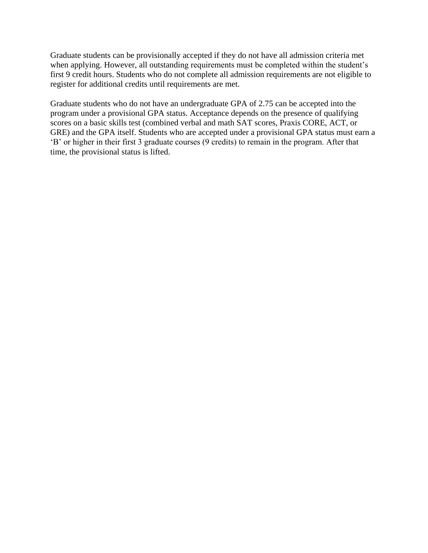Graduate students can be provisionally accepted if they do not have all admission criteria met when applying. However, all outstanding requirements must be completed within the student's first 9 credit hours. Students who do not complete all admission requirements are not eligible to register for additional credits until requirements are met.

Graduate students who do not have an undergraduate GPA of 2.75 can be accepted into the program under a provisional GPA status. Acceptance depends on the presence of qualifying scores on a basic skills test (combined verbal and math SAT scores, Praxis CORE, ACT, or GRE) and the GPA itself. Students who are accepted under a provisional GPA status must earn a 'B' or higher in their first 3 graduate courses (9 credits) to remain in the program. After that time, the provisional status is lifted.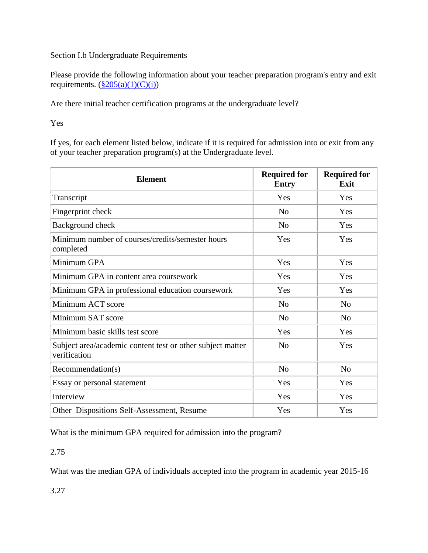#### Section I.b Undergraduate Requirements

Please provide the following information about your teacher preparation program's entry and exit requirements.  $(\frac{8}{205(a)(1)(C)(i)})$ 

Are there initial teacher certification programs at the undergraduate level?

Yes

If yes, for each element listed below, indicate if it is required for admission into or exit from any of your teacher preparation program(s) at the Undergraduate level.

| <b>Element</b>                                                             | <b>Required for</b><br><b>Entry</b> | <b>Required for</b><br>Exit |
|----------------------------------------------------------------------------|-------------------------------------|-----------------------------|
| Transcript                                                                 | Yes                                 | Yes                         |
| Fingerprint check                                                          | N <sub>0</sub>                      | Yes                         |
| Background check                                                           | N <sub>0</sub>                      | Yes                         |
| Minimum number of courses/credits/semester hours<br>completed              | Yes                                 | Yes                         |
| Minimum GPA                                                                | Yes                                 | Yes                         |
| Minimum GPA in content area coursework                                     | Yes                                 | Yes                         |
| Minimum GPA in professional education coursework                           | Yes                                 | Yes                         |
| Minimum ACT score                                                          | N <sub>o</sub>                      | N <sub>o</sub>              |
| Minimum SAT score                                                          | N <sub>o</sub>                      | N <sub>o</sub>              |
| Minimum basic skills test score                                            | Yes                                 | Yes                         |
| Subject area/academic content test or other subject matter<br>verification | N <sub>0</sub>                      | Yes                         |
| Recommendation(s)                                                          | N <sub>o</sub>                      | N <sub>o</sub>              |
| Essay or personal statement                                                | Yes                                 | Yes                         |
| Interview                                                                  | Yes                                 | Yes                         |
| Other Dispositions Self-Assessment, Resume                                 | Yes                                 | Yes                         |

What is the minimum GPA required for admission into the program?

#### 2.75

What was the median GPA of individuals accepted into the program in academic year 2015-16

3.27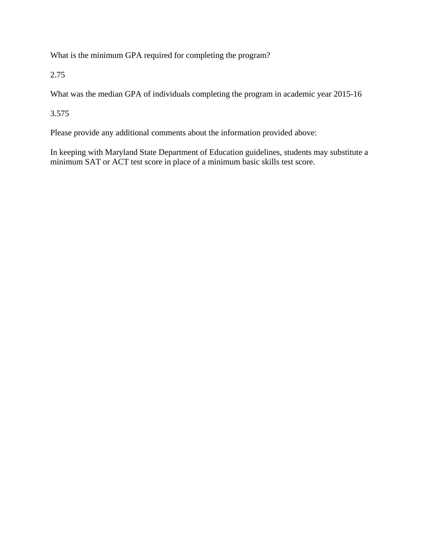What is the minimum GPA required for completing the program?

2.75

What was the median GPA of individuals completing the program in academic year 2015-16

3.575

Please provide any additional comments about the information provided above:

In keeping with Maryland State Department of Education guidelines, students may substitute a minimum SAT or ACT test score in place of a minimum basic skills test score.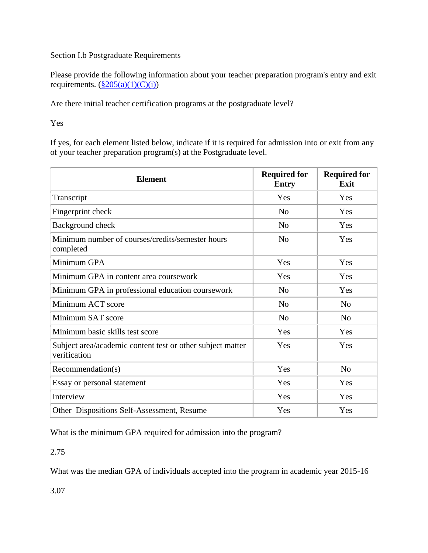#### Section I.b Postgraduate Requirements

Please provide the following information about your teacher preparation program's entry and exit requirements.  $(\frac{8}{205(a)(1)(C)(i)})$ 

Are there initial teacher certification programs at the postgraduate level?

Yes

If yes, for each element listed below, indicate if it is required for admission into or exit from any of your teacher preparation program(s) at the Postgraduate level.

| <b>Element</b>                                                             | <b>Required for</b><br><b>Entry</b> | <b>Required for</b><br>Exit |
|----------------------------------------------------------------------------|-------------------------------------|-----------------------------|
| Transcript                                                                 | Yes                                 | Yes                         |
| Fingerprint check                                                          | N <sub>0</sub>                      | Yes                         |
| Background check                                                           | N <sub>o</sub>                      | Yes                         |
| Minimum number of courses/credits/semester hours<br>completed              | N <sub>0</sub>                      | Yes                         |
| Minimum GPA                                                                | Yes                                 | Yes                         |
| Minimum GPA in content area coursework                                     | Yes                                 | Yes                         |
| Minimum GPA in professional education coursework                           | N <sub>0</sub>                      | Yes                         |
| Minimum ACT score                                                          | N <sub>0</sub>                      | N <sub>o</sub>              |
| Minimum SAT score                                                          | N <sub>o</sub>                      | N <sub>o</sub>              |
| Minimum basic skills test score                                            | Yes                                 | Yes                         |
| Subject area/academic content test or other subject matter<br>verification | Yes                                 | Yes                         |
| Recommendation(s)                                                          | Yes                                 | N <sub>o</sub>              |
| Essay or personal statement                                                | Yes                                 | Yes                         |
| Interview                                                                  | Yes                                 | Yes                         |
| Other Dispositions Self-Assessment, Resume                                 | Yes                                 | Yes                         |

What is the minimum GPA required for admission into the program?

#### 2.75

What was the median GPA of individuals accepted into the program in academic year 2015-16

3.07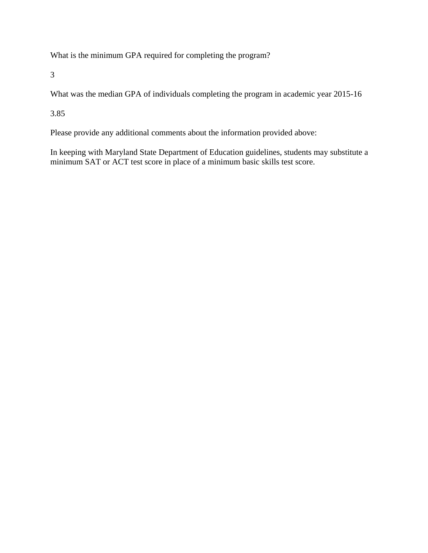What is the minimum GPA required for completing the program?

3

What was the median GPA of individuals completing the program in academic year 2015-16

3.85

Please provide any additional comments about the information provided above:

In keeping with Maryland State Department of Education guidelines, students may substitute a minimum SAT or ACT test score in place of a minimum basic skills test score.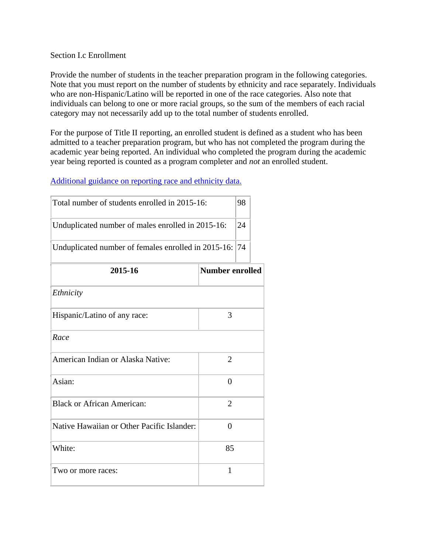#### Section I.c Enrollment

Provide the number of students in the teacher preparation program in the following categories. Note that you must report on the number of students by ethnicity and race separately. Individuals who are non-Hispanic/Latino will be reported in one of the race categories. Also note that individuals can belong to one or more racial groups, so the sum of the members of each racial category may not necessarily add up to the total number of students enrolled.

For the purpose of Title II reporting, an enrolled student is defined as a student who has been admitted to a teacher preparation program, but who has not completed the program during the academic year being reported. An individual who completed the program during the academic year being reported is counted as a program completer and *not* an enrolled student.

#### [Additional guidance on reporting race and ethnicity data.](https://title2.ed.gov/Public/TA/Race_ethnicity.pdf)

| Total number of students enrolled in 2015-16:       |                        | 98 |  |
|-----------------------------------------------------|------------------------|----|--|
| Unduplicated number of males enrolled in 2015-16:   |                        | 24 |  |
| Unduplicated number of females enrolled in 2015-16: |                        | 74 |  |
| 2015-16                                             | <b>Number enrolled</b> |    |  |
| Ethnicity                                           |                        |    |  |
| Hispanic/Latino of any race:                        | 3                      |    |  |
| Race                                                |                        |    |  |
| American Indian or Alaska Native:                   | $\overline{2}$         |    |  |
| Asian:                                              | $\theta$               |    |  |
| <b>Black or African American:</b>                   | $\overline{2}$         |    |  |
| Native Hawaiian or Other Pacific Islander:          | $\theta$               |    |  |
| White:                                              | 85                     |    |  |
| Two or more races:                                  | 1                      |    |  |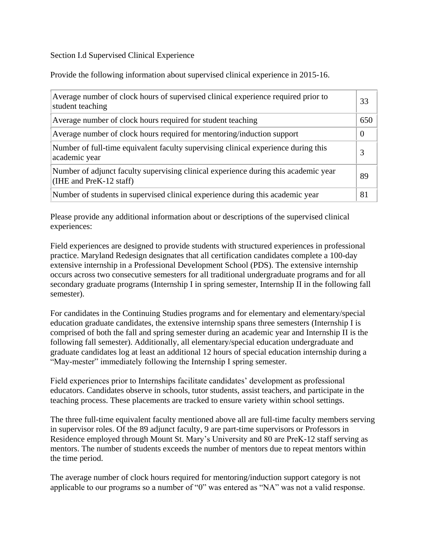#### Section I.d Supervised Clinical Experience

Provide the following information about supervised clinical experience in 2015-16.

| Average number of clock hours of supervised clinical experience required prior to<br>student teaching          | 33       |
|----------------------------------------------------------------------------------------------------------------|----------|
| Average number of clock hours required for student teaching                                                    | 650      |
| Average number of clock hours required for mentoring/induction support                                         | $\Omega$ |
| Number of full-time equivalent faculty supervising clinical experience during this<br>academic year            | 3        |
| Number of adjunct faculty supervising clinical experience during this academic year<br>(IHE and PreK-12 staff) | 89       |
| Number of students in supervised clinical experience during this academic year                                 | 81       |

Please provide any additional information about or descriptions of the supervised clinical experiences:

Field experiences are designed to provide students with structured experiences in professional practice. Maryland Redesign designates that all certification candidates complete a 100-day extensive internship in a Professional Development School (PDS). The extensive internship occurs across two consecutive semesters for all traditional undergraduate programs and for all secondary graduate programs (Internship I in spring semester, Internship II in the following fall semester).

For candidates in the Continuing Studies programs and for elementary and elementary/special education graduate candidates, the extensive internship spans three semesters (Internship I is comprised of both the fall and spring semester during an academic year and Internship II is the following fall semester). Additionally, all elementary/special education undergraduate and graduate candidates log at least an additional 12 hours of special education internship during a "May-mester" immediately following the Internship I spring semester.

Field experiences prior to Internships facilitate candidates' development as professional educators. Candidates observe in schools, tutor students, assist teachers, and participate in the teaching process. These placements are tracked to ensure variety within school settings.

The three full-time equivalent faculty mentioned above all are full-time faculty members serving in supervisor roles. Of the 89 adjunct faculty, 9 are part-time supervisors or Professors in Residence employed through Mount St. Mary's University and 80 are PreK-12 staff serving as mentors. The number of students exceeds the number of mentors due to repeat mentors within the time period.

The average number of clock hours required for mentoring/induction support category is not applicable to our programs so a number of "0" was entered as "NA" was not a valid response.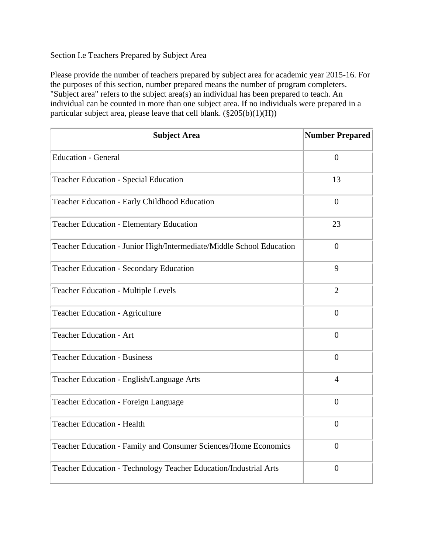#### Section I.e Teachers Prepared by Subject Area

Please provide the number of teachers prepared by subject area for academic year 2015-16. For the purposes of this section, number prepared means the number of program completers. "Subject area" refers to the subject area(s) an individual has been prepared to teach. An individual can be counted in more than one subject area. If no individuals were prepared in a particular subject area, please leave that cell blank.  $(\frac{8}{205(b)(1)(H)})$ 

| <b>Subject Area</b>                                                  | <b>Number Prepared</b> |
|----------------------------------------------------------------------|------------------------|
| <b>Education - General</b>                                           | $\overline{0}$         |
| <b>Teacher Education - Special Education</b>                         | 13                     |
| Teacher Education - Early Childhood Education                        | $\Omega$               |
| <b>Teacher Education - Elementary Education</b>                      | 23                     |
| Teacher Education - Junior High/Intermediate/Middle School Education | $\overline{0}$         |
| <b>Teacher Education - Secondary Education</b>                       | 9                      |
| <b>Teacher Education - Multiple Levels</b>                           | $\overline{2}$         |
| Teacher Education - Agriculture                                      | $\overline{0}$         |
| <b>Teacher Education - Art</b>                                       | $\overline{0}$         |
| <b>Teacher Education - Business</b>                                  | $\boldsymbol{0}$       |
| Teacher Education - English/Language Arts                            | $\overline{4}$         |
| <b>Teacher Education - Foreign Language</b>                          | $\overline{0}$         |
| <b>Teacher Education - Health</b>                                    | $\overline{0}$         |
| Teacher Education - Family and Consumer Sciences/Home Economics      | $\overline{0}$         |
| Teacher Education - Technology Teacher Education/Industrial Arts     | $\overline{0}$         |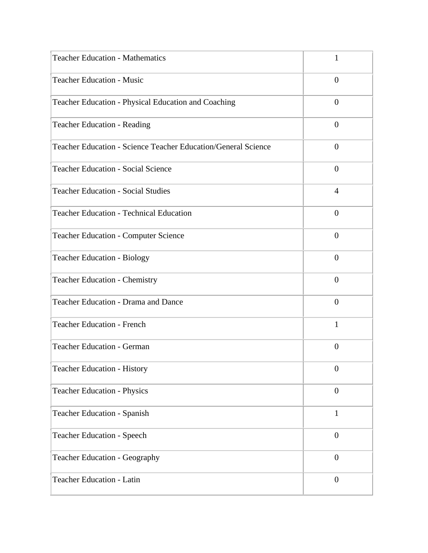| <b>Teacher Education - Mathematics</b>                        | 1                |
|---------------------------------------------------------------|------------------|
| <b>Teacher Education - Music</b>                              | $\overline{0}$   |
| Teacher Education - Physical Education and Coaching           | $\overline{0}$   |
| <b>Teacher Education - Reading</b>                            | $\theta$         |
| Teacher Education - Science Teacher Education/General Science | $\overline{0}$   |
| <b>Teacher Education - Social Science</b>                     | $\overline{0}$   |
| <b>Teacher Education - Social Studies</b>                     | 4                |
| <b>Teacher Education - Technical Education</b>                | $\overline{0}$   |
| <b>Teacher Education - Computer Science</b>                   | $\overline{0}$   |
| <b>Teacher Education - Biology</b>                            | $\theta$         |
| <b>Teacher Education - Chemistry</b>                          | $\overline{0}$   |
| Teacher Education - Drama and Dance                           | $\boldsymbol{0}$ |
| <b>Teacher Education - French</b>                             | 1                |
| <b>Teacher Education - German</b>                             | $\overline{0}$   |
| <b>Teacher Education - History</b>                            | $\boldsymbol{0}$ |
| <b>Teacher Education - Physics</b>                            | $\boldsymbol{0}$ |
| <b>Teacher Education - Spanish</b>                            | 1                |
| <b>Teacher Education - Speech</b>                             | $\boldsymbol{0}$ |
| Teacher Education - Geography                                 | $\boldsymbol{0}$ |
| Teacher Education - Latin                                     | $\boldsymbol{0}$ |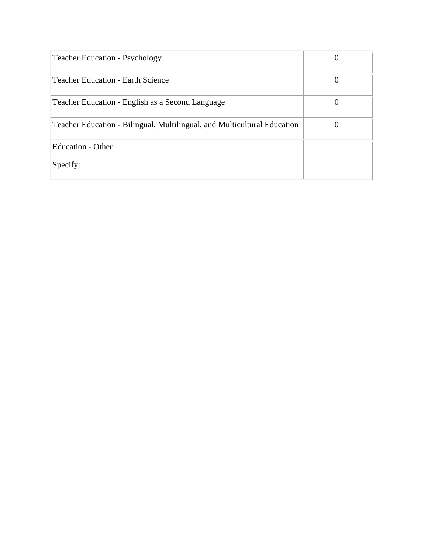| <b>Teacher Education - Psychology</b>                                    |   |
|--------------------------------------------------------------------------|---|
| <b>Teacher Education - Earth Science</b>                                 | 0 |
| Teacher Education - English as a Second Language                         | 0 |
| Teacher Education - Bilingual, Multilingual, and Multicultural Education |   |
| <b>Education - Other</b>                                                 |   |
| Specify:                                                                 |   |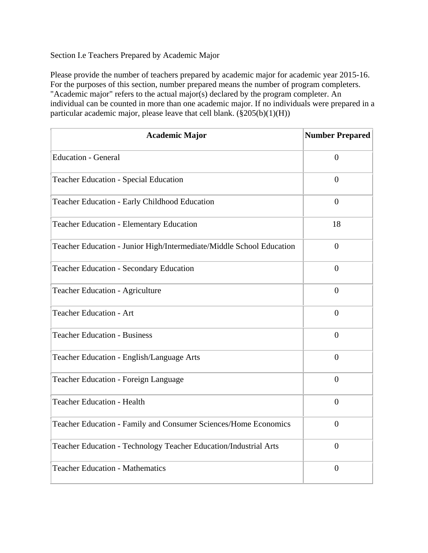#### Section I.e Teachers Prepared by Academic Major

Please provide the number of teachers prepared by academic major for academic year 2015-16. For the purposes of this section, number prepared means the number of program completers. "Academic major" refers to the actual major(s) declared by the program completer. An individual can be counted in more than one academic major. If no individuals were prepared in a particular academic major, please leave that cell blank.  $(\S 205(b)(1)(H))$ 

| <b>Academic Major</b>                                                | <b>Number Prepared</b> |
|----------------------------------------------------------------------|------------------------|
| <b>Education - General</b>                                           | $\overline{0}$         |
| <b>Teacher Education - Special Education</b>                         | $\Omega$               |
| Teacher Education - Early Childhood Education                        | $\overline{0}$         |
| <b>Teacher Education - Elementary Education</b>                      | 18                     |
| Teacher Education - Junior High/Intermediate/Middle School Education | $\overline{0}$         |
| <b>Teacher Education - Secondary Education</b>                       | $\overline{0}$         |
| <b>Teacher Education - Agriculture</b>                               | $\overline{0}$         |
| <b>Teacher Education - Art</b>                                       | $\overline{0}$         |
| <b>Teacher Education - Business</b>                                  | $\theta$               |
| Teacher Education - English/Language Arts                            | $\overline{0}$         |
| <b>Teacher Education - Foreign Language</b>                          | $\overline{0}$         |
| <b>Teacher Education - Health</b>                                    | $\overline{0}$         |
| Teacher Education - Family and Consumer Sciences/Home Economics      | $\overline{0}$         |
| Teacher Education - Technology Teacher Education/Industrial Arts     | $\overline{0}$         |
| <b>Teacher Education - Mathematics</b>                               | $\overline{0}$         |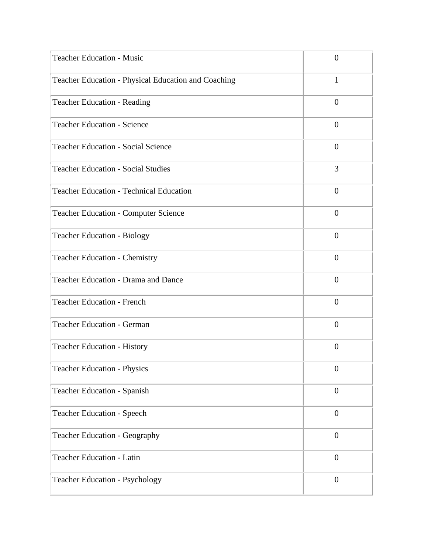| <b>Teacher Education - Music</b>                    | $\overline{0}$   |
|-----------------------------------------------------|------------------|
| Teacher Education - Physical Education and Coaching | $\mathbf{1}$     |
| <b>Teacher Education - Reading</b>                  | $\overline{0}$   |
| <b>Teacher Education - Science</b>                  | $\overline{0}$   |
| <b>Teacher Education - Social Science</b>           | $\overline{0}$   |
| <b>Teacher Education - Social Studies</b>           | 3                |
| <b>Teacher Education - Technical Education</b>      | $\boldsymbol{0}$ |
| <b>Teacher Education - Computer Science</b>         | $\theta$         |
| <b>Teacher Education - Biology</b>                  | $\overline{0}$   |
| <b>Teacher Education - Chemistry</b>                | $\theta$         |
| Teacher Education - Drama and Dance                 | $\theta$         |
| <b>Teacher Education - French</b>                   | $\overline{0}$   |
| <b>Teacher Education - German</b>                   | $\theta$         |
| <b>Teacher Education - History</b>                  | $\theta$         |
| <b>Teacher Education - Physics</b>                  | $\boldsymbol{0}$ |
| <b>Teacher Education - Spanish</b>                  | $\boldsymbol{0}$ |
| <b>Teacher Education - Speech</b>                   | $\boldsymbol{0}$ |
| <b>Teacher Education - Geography</b>                | $\boldsymbol{0}$ |
| <b>Teacher Education - Latin</b>                    | $\boldsymbol{0}$ |
| <b>Teacher Education - Psychology</b>               | $\boldsymbol{0}$ |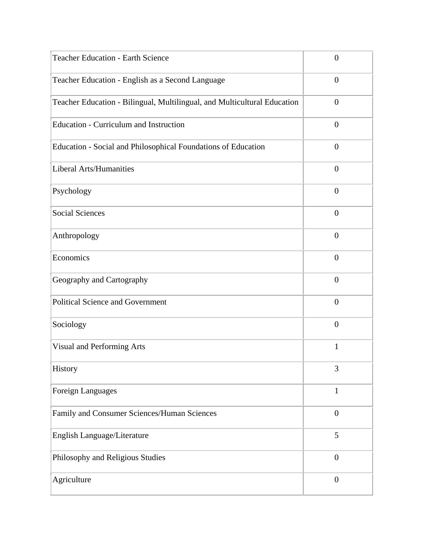| <b>Teacher Education - Earth Science</b>                                 | $\overline{0}$   |
|--------------------------------------------------------------------------|------------------|
| Teacher Education - English as a Second Language                         | $\overline{0}$   |
| Teacher Education - Bilingual, Multilingual, and Multicultural Education | $\overline{0}$   |
| <b>Education - Curriculum and Instruction</b>                            | $\theta$         |
| Education - Social and Philosophical Foundations of Education            | $\overline{0}$   |
| <b>Liberal Arts/Humanities</b>                                           | $\overline{0}$   |
| Psychology                                                               | $\theta$         |
| <b>Social Sciences</b>                                                   | $\overline{0}$   |
| Anthropology                                                             | $\overline{0}$   |
| Economics                                                                | $\overline{0}$   |
| Geography and Cartography                                                | $\overline{0}$   |
| <b>Political Science and Government</b>                                  | $\overline{0}$   |
| Sociology                                                                | $\overline{0}$   |
| Visual and Performing Arts                                               | 1                |
| History                                                                  | 3                |
| Foreign Languages                                                        | $\mathbf{1}$     |
| Family and Consumer Sciences/Human Sciences                              | $\boldsymbol{0}$ |
| English Language/Literature                                              | 5                |
| Philosophy and Religious Studies                                         | $\boldsymbol{0}$ |
| Agriculture                                                              | $\boldsymbol{0}$ |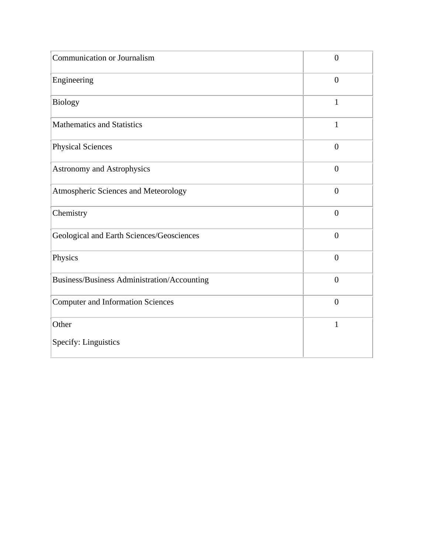| Communication or Journalism                 | $\boldsymbol{0}$ |
|---------------------------------------------|------------------|
| Engineering                                 | $\overline{0}$   |
| <b>Biology</b>                              | $\mathbf{1}$     |
| <b>Mathematics and Statistics</b>           | $\mathbf{1}$     |
| <b>Physical Sciences</b>                    | $\overline{0}$   |
| <b>Astronomy and Astrophysics</b>           | $\overline{0}$   |
| Atmospheric Sciences and Meteorology        | $\overline{0}$   |
| Chemistry                                   | $\overline{0}$   |
| Geological and Earth Sciences/Geosciences   | $\overline{0}$   |
| Physics                                     | $\overline{0}$   |
| Business/Business Administration/Accounting | $\overline{0}$   |
| <b>Computer and Information Sciences</b>    | $\overline{0}$   |
| Other                                       | $\mathbf{1}$     |
| Specify: Linguistics                        |                  |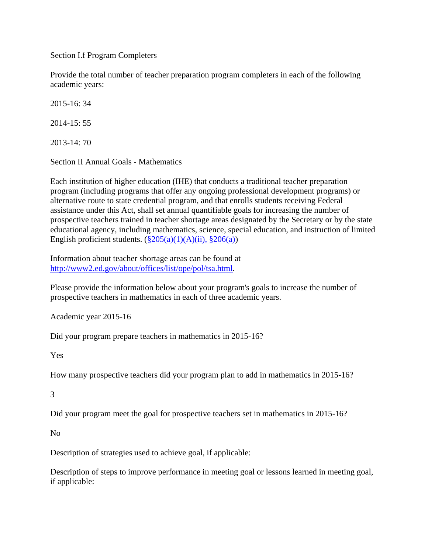Section I.f Program Completers

Provide the total number of teacher preparation program completers in each of the following academic years:

2015-16: 34

2014-15: 55

2013-14: 70

Section II Annual Goals - Mathematics

Each institution of higher education (IHE) that conducts a traditional teacher preparation program (including programs that offer any ongoing professional development programs) or alternative route to state credential program, and that enrolls students receiving Federal assistance under this Act, shall set annual quantifiable goals for increasing the number of prospective teachers trained in teacher shortage areas designated by the Secretary or by the state educational agency, including mathematics, science, special education, and instruction of limited English proficient students.  $(\frac{205(a)(1)(A)(ii)}{206(a)})$ 

Information about teacher shortage areas can be found at [http://www2.ed.gov/about/offices/list/ope/pol/tsa.html.](http://www2.ed.gov/about/offices/list/ope/pol/tsa.html)

Please provide the information below about your program's goals to increase the number of prospective teachers in mathematics in each of three academic years.

Academic year 2015-16

Did your program prepare teachers in mathematics in 2015-16?

Yes

How many prospective teachers did your program plan to add in mathematics in 2015-16?

3

Did your program meet the goal for prospective teachers set in mathematics in 2015-16?

No

Description of strategies used to achieve goal, if applicable:

Description of steps to improve performance in meeting goal or lessons learned in meeting goal, if applicable: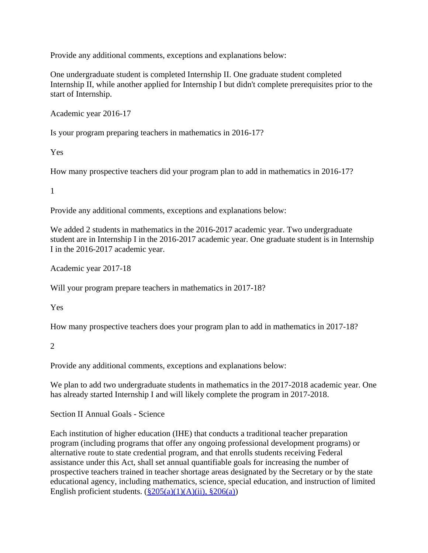Provide any additional comments, exceptions and explanations below:

One undergraduate student is completed Internship II. One graduate student completed Internship II, while another applied for Internship I but didn't complete prerequisites prior to the start of Internship.

Academic year 2016-17

Is your program preparing teachers in mathematics in 2016-17?

Yes

How many prospective teachers did your program plan to add in mathematics in 2016-17?

1

Provide any additional comments, exceptions and explanations below:

We added 2 students in mathematics in the 2016-2017 academic year. Two undergraduate student are in Internship I in the 2016-2017 academic year. One graduate student is in Internship I in the 2016-2017 academic year.

Academic year 2017-18

Will your program prepare teachers in mathematics in 2017-18?

Yes

How many prospective teachers does your program plan to add in mathematics in 2017-18?

 $\mathcal{L}$ 

Provide any additional comments, exceptions and explanations below:

We plan to add two undergraduate students in mathematics in the 2017-2018 academic year. One has already started Internship I and will likely complete the program in 2017-2018.

Section II Annual Goals - Science

Each institution of higher education (IHE) that conducts a traditional teacher preparation program (including programs that offer any ongoing professional development programs) or alternative route to state credential program, and that enrolls students receiving Federal assistance under this Act, shall set annual quantifiable goals for increasing the number of prospective teachers trained in teacher shortage areas designated by the Secretary or by the state educational agency, including mathematics, science, special education, and instruction of limited English proficient students.  $(\frac{8205(a)(1)(A)(ii)}{8206(a)})$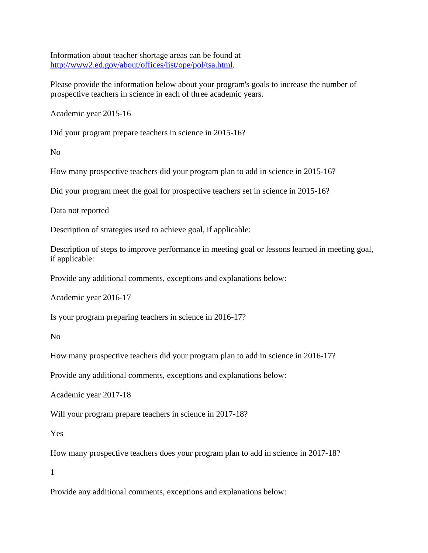Information about teacher shortage areas can be found at [http://www2.ed.gov/about/offices/list/ope/pol/tsa.html.](http://www2.ed.gov/about/offices/list/ope/pol/tsa.html)

Please provide the information below about your program's goals to increase the number of prospective teachers in science in each of three academic years.

Academic year 2015-16

Did your program prepare teachers in science in 2015-16?

No

How many prospective teachers did your program plan to add in science in 2015-16?

Did your program meet the goal for prospective teachers set in science in 2015-16?

Data not reported

Description of strategies used to achieve goal, if applicable:

Description of steps to improve performance in meeting goal or lessons learned in meeting goal, if applicable:

Provide any additional comments, exceptions and explanations below:

Academic year 2016-17

Is your program preparing teachers in science in 2016-17?

No

How many prospective teachers did your program plan to add in science in 2016-17?

Provide any additional comments, exceptions and explanations below:

Academic year 2017-18

Will your program prepare teachers in science in 2017-18?

Yes

How many prospective teachers does your program plan to add in science in 2017-18?

1

Provide any additional comments, exceptions and explanations below: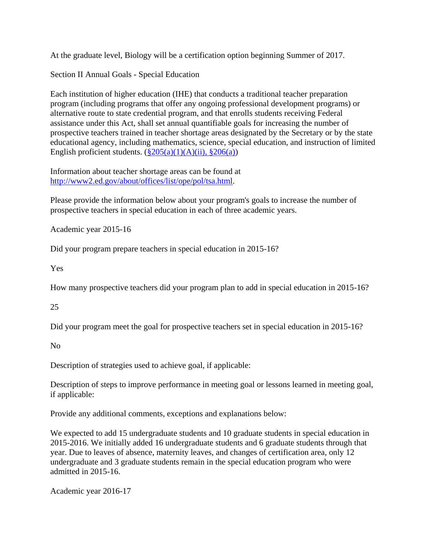At the graduate level, Biology will be a certification option beginning Summer of 2017.

Section II Annual Goals - Special Education

Each institution of higher education (IHE) that conducts a traditional teacher preparation program (including programs that offer any ongoing professional development programs) or alternative route to state credential program, and that enrolls students receiving Federal assistance under this Act, shall set annual quantifiable goals for increasing the number of prospective teachers trained in teacher shortage areas designated by the Secretary or by the state educational agency, including mathematics, science, special education, and instruction of limited English proficient students.  $(\frac{8205(a)(1)(A)(ii)}{8206(a)})$ 

Information about teacher shortage areas can be found at [http://www2.ed.gov/about/offices/list/ope/pol/tsa.html.](http://www2.ed.gov/about/offices/list/ope/pol/tsa.html)

Please provide the information below about your program's goals to increase the number of prospective teachers in special education in each of three academic years.

Academic year 2015-16

Did your program prepare teachers in special education in 2015-16?

Yes

How many prospective teachers did your program plan to add in special education in 2015-16?

25

Did your program meet the goal for prospective teachers set in special education in 2015-16?

No

Description of strategies used to achieve goal, if applicable:

Description of steps to improve performance in meeting goal or lessons learned in meeting goal, if applicable:

Provide any additional comments, exceptions and explanations below:

We expected to add 15 undergraduate students and 10 graduate students in special education in 2015-2016. We initially added 16 undergraduate students and 6 graduate students through that year. Due to leaves of absence, maternity leaves, and changes of certification area, only 12 undergraduate and 3 graduate students remain in the special education program who were admitted in 2015-16.

Academic year 2016-17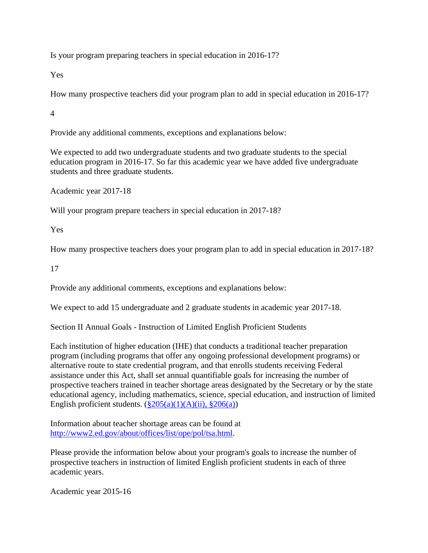Is your program preparing teachers in special education in 2016-17?

Yes

How many prospective teachers did your program plan to add in special education in 2016-17?

4

Provide any additional comments, exceptions and explanations below:

We expected to add two undergraduate students and two graduate students to the special education program in 2016-17. So far this academic year we have added five undergraduate students and three graduate students.

Academic year 2017-18

Will your program prepare teachers in special education in 2017-18?

Yes

How many prospective teachers does your program plan to add in special education in 2017-18?

17

Provide any additional comments, exceptions and explanations below:

We expect to add 15 undergraduate and 2 graduate students in academic year 2017-18.

Section II Annual Goals - Instruction of Limited English Proficient Students

Each institution of higher education (IHE) that conducts a traditional teacher preparation program (including programs that offer any ongoing professional development programs) or alternative route to state credential program, and that enrolls students receiving Federal assistance under this Act, shall set annual quantifiable goals for increasing the number of prospective teachers trained in teacher shortage areas designated by the Secretary or by the state educational agency, including mathematics, science, special education, and instruction of limited English proficient students.  $(\frac{205(a)(1)(A)(ii)}{206(a)})$ 

Information about teacher shortage areas can be found at [http://www2.ed.gov/about/offices/list/ope/pol/tsa.html.](http://www2.ed.gov/about/offices/list/ope/pol/tsa.html)

Please provide the information below about your program's goals to increase the number of prospective teachers in instruction of limited English proficient students in each of three academic years.

Academic year 2015-16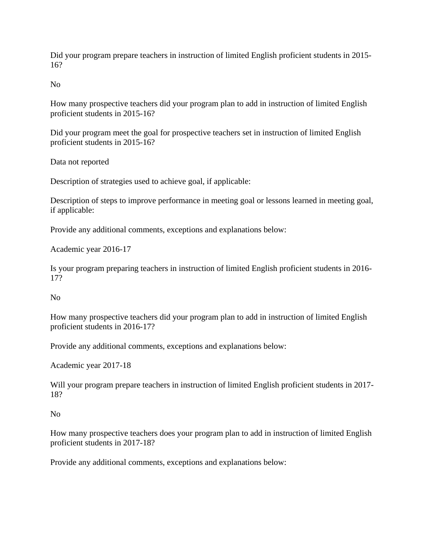Did your program prepare teachers in instruction of limited English proficient students in 2015- 16?

No

How many prospective teachers did your program plan to add in instruction of limited English proficient students in 2015-16?

Did your program meet the goal for prospective teachers set in instruction of limited English proficient students in 2015-16?

Data not reported

Description of strategies used to achieve goal, if applicable:

Description of steps to improve performance in meeting goal or lessons learned in meeting goal, if applicable:

Provide any additional comments, exceptions and explanations below:

Academic year 2016-17

Is your program preparing teachers in instruction of limited English proficient students in 2016- 17?

No

How many prospective teachers did your program plan to add in instruction of limited English proficient students in 2016-17?

Provide any additional comments, exceptions and explanations below:

Academic year 2017-18

Will your program prepare teachers in instruction of limited English proficient students in 2017- 18?

No

How many prospective teachers does your program plan to add in instruction of limited English proficient students in 2017-18?

Provide any additional comments, exceptions and explanations below: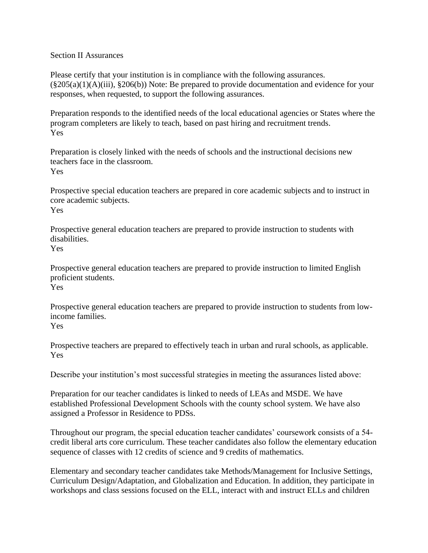Section II Assurances

Please certify that your institution is in compliance with the following assurances.  $(\S 205(a)(1)(A)(iii), \S 206(b))$  Note: Be prepared to provide documentation and evidence for your responses, when requested, to support the following assurances.

Preparation responds to the identified needs of the local educational agencies or States where the program completers are likely to teach, based on past hiring and recruitment trends. Yes

Preparation is closely linked with the needs of schools and the instructional decisions new teachers face in the classroom. Yes

Prospective special education teachers are prepared in core academic subjects and to instruct in core academic subjects. Yes

Prospective general education teachers are prepared to provide instruction to students with disabilities. Yes

Prospective general education teachers are prepared to provide instruction to limited English proficient students. Yes

Prospective general education teachers are prepared to provide instruction to students from lowincome families. Yes

Prospective teachers are prepared to effectively teach in urban and rural schools, as applicable. Yes

Describe your institution's most successful strategies in meeting the assurances listed above:

Preparation for our teacher candidates is linked to needs of LEAs and MSDE. We have established Professional Development Schools with the county school system. We have also assigned a Professor in Residence to PDSs.

Throughout our program, the special education teacher candidates' coursework consists of a 54 credit liberal arts core curriculum. These teacher candidates also follow the elementary education sequence of classes with 12 credits of science and 9 credits of mathematics.

Elementary and secondary teacher candidates take Methods/Management for Inclusive Settings, Curriculum Design/Adaptation, and Globalization and Education. In addition, they participate in workshops and class sessions focused on the ELL, interact with and instruct ELLs and children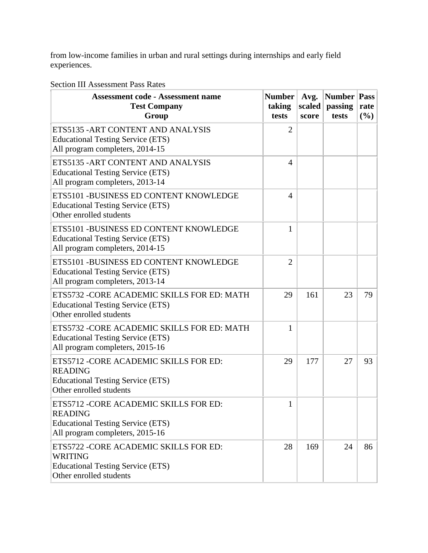from low-income families in urban and rural settings during internships and early field experiences.

### Section III Assessment Pass Rates

| <b>Assessment code - Assessment name</b><br><b>Test Company</b><br>Group                                                                | <b>Number</b><br>taking<br>tests | Avg.<br>scaled<br>score | <b>Number</b><br>passing<br>tests | <b>Pass</b><br>rate<br>(%) |
|-----------------------------------------------------------------------------------------------------------------------------------------|----------------------------------|-------------------------|-----------------------------------|----------------------------|
| ETS5135 - ART CONTENT AND ANALYSIS<br><b>Educational Testing Service (ETS)</b><br>All program completers, 2014-15                       | $\overline{2}$                   |                         |                                   |                            |
| ETS5135 - ART CONTENT AND ANALYSIS<br><b>Educational Testing Service (ETS)</b><br>All program completers, 2013-14                       | $\overline{4}$                   |                         |                                   |                            |
| ETS5101 - BUSINESS ED CONTENT KNOWLEDGE<br><b>Educational Testing Service (ETS)</b><br>Other enrolled students                          | 4                                |                         |                                   |                            |
| ETS5101 - BUSINESS ED CONTENT KNOWLEDGE<br><b>Educational Testing Service (ETS)</b><br>All program completers, 2014-15                  | $\mathbf{1}$                     |                         |                                   |                            |
| ETS5101 -BUSINESS ED CONTENT KNOWLEDGE<br><b>Educational Testing Service (ETS)</b><br>All program completers, 2013-14                   | $\overline{2}$                   |                         |                                   |                            |
| ETS5732 - CORE ACADEMIC SKILLS FOR ED: MATH<br><b>Educational Testing Service (ETS)</b><br>Other enrolled students                      | 29                               | 161                     | 23                                | 79                         |
| ETS5732 -CORE ACADEMIC SKILLS FOR ED: MATH<br><b>Educational Testing Service (ETS)</b><br>All program completers, 2015-16               | $\mathbf{1}$                     |                         |                                   |                            |
| ETS5712 - CORE ACADEMIC SKILLS FOR ED:<br><b>READING</b><br><b>Educational Testing Service (ETS)</b><br>Other enrolled students         | 29                               | 177                     | 27                                | 93                         |
| ETS5712 - CORE ACADEMIC SKILLS FOR ED:<br><b>READING</b><br><b>Educational Testing Service (ETS)</b><br>All program completers, 2015-16 | $\,1$                            |                         |                                   |                            |
| ETS5722 - CORE ACADEMIC SKILLS FOR ED:<br><b>WRITING</b><br><b>Educational Testing Service (ETS)</b><br>Other enrolled students         | 28                               | 169                     | 24                                | 86                         |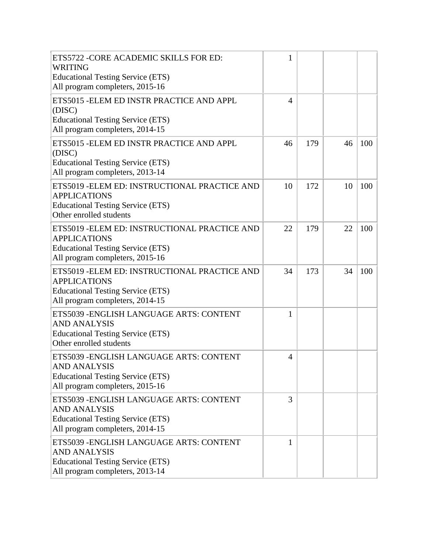| ETS5722 - CORE ACADEMIC SKILLS FOR ED:<br>WRITING                                                                                                   | 1              |     |    |     |
|-----------------------------------------------------------------------------------------------------------------------------------------------------|----------------|-----|----|-----|
| <b>Educational Testing Service (ETS)</b><br>All program completers, 2015-16                                                                         |                |     |    |     |
| ETS5015 - ELEM ED INSTR PRACTICE AND APPL<br>(DISC)<br><b>Educational Testing Service (ETS)</b><br>All program completers, 2014-15                  | $\overline{4}$ |     |    |     |
| ETS5015 - ELEM ED INSTR PRACTICE AND APPL<br>(DISC)<br><b>Educational Testing Service (ETS)</b><br>All program completers, 2013-14                  | 46             | 179 | 46 | 100 |
| ETS5019 - ELEM ED: INSTRUCTIONAL PRACTICE AND<br><b>APPLICATIONS</b><br><b>Educational Testing Service (ETS)</b><br>Other enrolled students         | 10             | 172 | 10 | 100 |
| ETS5019 - ELEM ED: INSTRUCTIONAL PRACTICE AND<br><b>APPLICATIONS</b><br><b>Educational Testing Service (ETS)</b><br>All program completers, 2015-16 | 22             | 179 | 22 | 100 |
| ETS5019 - ELEM ED: INSTRUCTIONAL PRACTICE AND<br><b>APPLICATIONS</b><br><b>Educational Testing Service (ETS)</b><br>All program completers, 2014-15 | 34             | 173 | 34 | 100 |
| ETS5039 - ENGLISH LANGUAGE ARTS: CONTENT<br><b>AND ANALYSIS</b><br><b>Educational Testing Service (ETS)</b><br>Other enrolled students              | 1              |     |    |     |
| ETS5039 - ENGLISH LANGUAGE ARTS: CONTENT<br>AND ANALYSIS<br><b>Educational Testing Service (ETS)</b><br>All program completers, 2015-16             | $\overline{4}$ |     |    |     |
| ETS5039 - ENGLISH LANGUAGE ARTS: CONTENT<br><b>AND ANALYSIS</b><br><b>Educational Testing Service (ETS)</b><br>All program completers, 2014-15      | 3              |     |    |     |
| ETS5039 - ENGLISH LANGUAGE ARTS: CONTENT<br><b>AND ANALYSIS</b><br><b>Educational Testing Service (ETS)</b><br>All program completers, 2013-14      | 1              |     |    |     |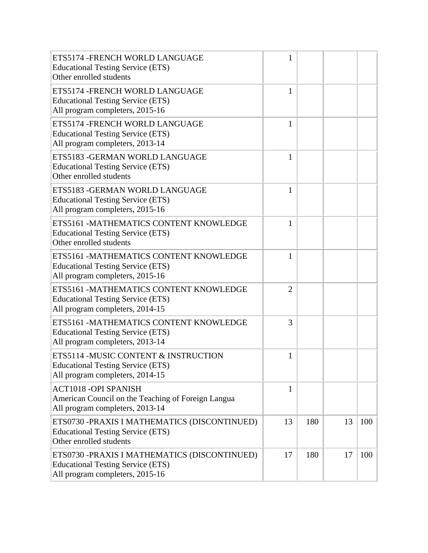| ETS5174 - FRENCH WORLD LANGUAGE<br><b>Educational Testing Service (ETS)</b><br>Other enrolled students                       | 1              |     |    |     |
|------------------------------------------------------------------------------------------------------------------------------|----------------|-----|----|-----|
| ETS5174 - FRENCH WORLD LANGUAGE<br><b>Educational Testing Service (ETS)</b><br>All program completers, 2015-16               | 1              |     |    |     |
| ETS5174 - FRENCH WORLD LANGUAGE<br><b>Educational Testing Service (ETS)</b><br>All program completers, 2013-14               | 1              |     |    |     |
| ETS5183 - GERMAN WORLD LANGUAGE<br><b>Educational Testing Service (ETS)</b><br>Other enrolled students                       | 1              |     |    |     |
| ETS5183 - GERMAN WORLD LANGUAGE<br><b>Educational Testing Service (ETS)</b><br>All program completers, 2015-16               | $\mathbf{1}$   |     |    |     |
| ETS5161 -MATHEMATICS CONTENT KNOWLEDGE<br><b>Educational Testing Service (ETS)</b><br>Other enrolled students                | $\mathbf{1}$   |     |    |     |
| ETS5161 -MATHEMATICS CONTENT KNOWLEDGE<br><b>Educational Testing Service (ETS)</b><br>All program completers, 2015-16        | 1              |     |    |     |
| ETS5161 -MATHEMATICS CONTENT KNOWLEDGE<br><b>Educational Testing Service (ETS)</b><br>All program completers, 2014-15        | $\overline{2}$ |     |    |     |
| ETS5161 -MATHEMATICS CONTENT KNOWLEDGE<br><b>Educational Testing Service (ETS)</b><br>All program completers, 2013-14        | 3              |     |    |     |
| ETS5114 -MUSIC CONTENT & INSTRUCTION<br><b>Educational Testing Service (ETS)</b><br>All program completers, 2014-15          | 1              |     |    |     |
| <b>ACT1018 -OPI SPANISH</b><br>American Council on the Teaching of Foreign Langua<br>All program completers, 2013-14         | $\mathbf{1}$   |     |    |     |
| ETS0730 -PRAXIS I MATHEMATICS (DISCONTINUED)<br><b>Educational Testing Service (ETS)</b><br>Other enrolled students          | 13             | 180 | 13 | 100 |
| ETS0730 - PRAXIS I MATHEMATICS (DISCONTINUED)<br><b>Educational Testing Service (ETS)</b><br>All program completers, 2015-16 | 17             | 180 | 17 | 100 |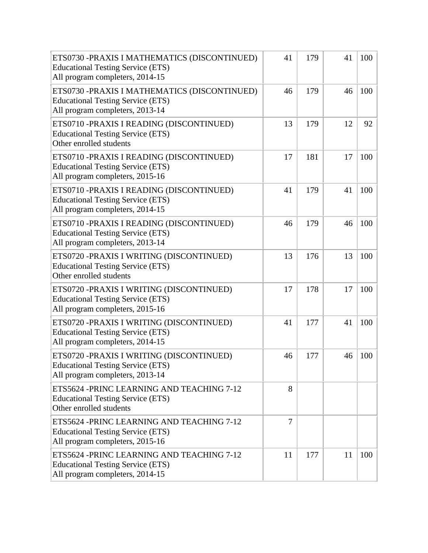| ETS0730 -PRAXIS I MATHEMATICS (DISCONTINUED)<br><b>Educational Testing Service (ETS)</b><br>All program completers, 2014-15 | 41 | 179 | 41 | 100 |
|-----------------------------------------------------------------------------------------------------------------------------|----|-----|----|-----|
| ETS0730 -PRAXIS I MATHEMATICS (DISCONTINUED)<br><b>Educational Testing Service (ETS)</b><br>All program completers, 2013-14 | 46 | 179 | 46 | 100 |
| ETS0710 -PRAXIS I READING (DISCONTINUED)<br><b>Educational Testing Service (ETS)</b><br>Other enrolled students             | 13 | 179 | 12 | 92  |
| ETS0710 -PRAXIS I READING (DISCONTINUED)<br><b>Educational Testing Service (ETS)</b><br>All program completers, 2015-16     | 17 | 181 | 17 | 100 |
| ETS0710 -PRAXIS I READING (DISCONTINUED)<br><b>Educational Testing Service (ETS)</b><br>All program completers, 2014-15     | 41 | 179 | 41 | 100 |
| ETS0710 -PRAXIS I READING (DISCONTINUED)<br><b>Educational Testing Service (ETS)</b><br>All program completers, 2013-14     | 46 | 179 | 46 | 100 |
| ETS0720 -PRAXIS I WRITING (DISCONTINUED)<br><b>Educational Testing Service (ETS)</b><br>Other enrolled students             | 13 | 176 | 13 | 100 |
| ETS0720 -PRAXIS I WRITING (DISCONTINUED)<br><b>Educational Testing Service (ETS)</b><br>All program completers, 2015-16     | 17 | 178 | 17 | 100 |
| ETS0720 -PRAXIS I WRITING (DISCONTINUED)<br><b>Educational Testing Service (ETS)</b><br>All program completers, 2014-15     | 41 | 177 | 41 | 100 |
| ETS0720 -PRAXIS I WRITING (DISCONTINUED)<br><b>Educational Testing Service (ETS)</b><br>All program completers, 2013-14     | 46 | 177 | 46 | 100 |
| ETS5624 - PRINC LEARNING AND TEACHING 7-12<br><b>Educational Testing Service (ETS)</b><br>Other enrolled students           | 8  |     |    |     |
| ETS5624 - PRINC LEARNING AND TEACHING 7-12<br><b>Educational Testing Service (ETS)</b><br>All program completers, 2015-16   | 7  |     |    |     |
| ETS5624 -PRINC LEARNING AND TEACHING 7-12<br><b>Educational Testing Service (ETS)</b><br>All program completers, 2014-15    | 11 | 177 | 11 | 100 |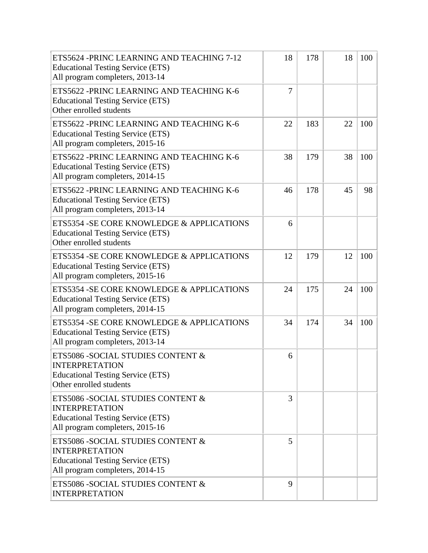| ETS5624 - PRINC LEARNING AND TEACHING 7-12<br><b>Educational Testing Service (ETS)</b><br>All program completers, 2013-14                  | 18 | 178 | 18 | 100 |
|--------------------------------------------------------------------------------------------------------------------------------------------|----|-----|----|-----|
| ETS5622 - PRINC LEARNING AND TEACHING K-6<br><b>Educational Testing Service (ETS)</b><br>Other enrolled students                           | 7  |     |    |     |
| ETS5622 - PRINC LEARNING AND TEACHING K-6<br><b>Educational Testing Service (ETS)</b><br>All program completers, 2015-16                   | 22 | 183 | 22 | 100 |
| ETS5622 - PRINC LEARNING AND TEACHING K-6<br><b>Educational Testing Service (ETS)</b><br>All program completers, 2014-15                   | 38 | 179 | 38 | 100 |
| ETS5622 - PRINC LEARNING AND TEACHING K-6<br><b>Educational Testing Service (ETS)</b><br>All program completers, 2013-14                   | 46 | 178 | 45 | 98  |
| ETS5354 - SE CORE KNOWLEDGE & APPLICATIONS<br><b>Educational Testing Service (ETS)</b><br>Other enrolled students                          | 6  |     |    |     |
| ETS5354 - SE CORE KNOWLEDGE & APPLICATIONS<br><b>Educational Testing Service (ETS)</b><br>All program completers, 2015-16                  | 12 | 179 | 12 | 100 |
| ETS5354 - SE CORE KNOWLEDGE & APPLICATIONS<br><b>Educational Testing Service (ETS)</b><br>All program completers, 2014-15                  | 24 | 175 | 24 | 100 |
| ETS5354 - SE CORE KNOWLEDGE & APPLICATIONS<br><b>Educational Testing Service (ETS)</b><br>All program completers, 2013-14                  | 34 | 174 | 34 | 100 |
| ETS5086 - SOCIAL STUDIES CONTENT &<br><b>INTERPRETATION</b><br><b>Educational Testing Service (ETS)</b><br>Other enrolled students         | 6  |     |    |     |
| ETS5086 - SOCIAL STUDIES CONTENT &<br><b>INTERPRETATION</b><br><b>Educational Testing Service (ETS)</b><br>All program completers, 2015-16 | 3  |     |    |     |
| ETS5086 - SOCIAL STUDIES CONTENT &<br><b>INTERPRETATION</b><br><b>Educational Testing Service (ETS)</b><br>All program completers, 2014-15 | 5  |     |    |     |
| ETS5086 - SOCIAL STUDIES CONTENT &<br><b>INTERPRETATION</b>                                                                                | 9  |     |    |     |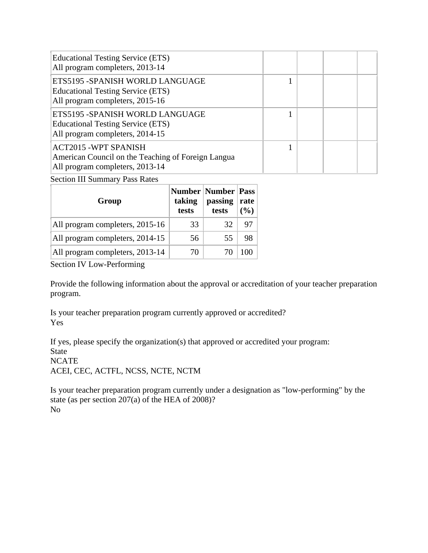| <b>Educational Testing Service (ETS)</b><br>All program completers, 2013-14                                          |  |  |
|----------------------------------------------------------------------------------------------------------------------|--|--|
| ETS5195 - SPANISH WORLD LANGUAGE<br><b>Educational Testing Service (ETS)</b><br>All program completers, 2015-16      |  |  |
| ETS5195 - SPANISH WORLD LANGUAGE<br><b>Educational Testing Service (ETS)</b><br>All program completers, 2014-15      |  |  |
| <b>ACT2015 -WPT SPANISH</b><br>American Council on the Teaching of Foreign Langua<br>All program completers, 2013-14 |  |  |

Section III Summary Pass Rates

| Group                           | taking<br>tests | <b>Number   Number   Pass</b><br>passing<br>tests | rate<br>(%) |
|---------------------------------|-----------------|---------------------------------------------------|-------------|
| All program completers, 2015-16 | 33              | 32                                                | 97          |
| All program completers, 2014-15 | 56              | 55                                                | 98          |
| All program completers, 2013-14 | 70              | 70                                                |             |

Section IV Low-Performing

Provide the following information about the approval or accreditation of your teacher preparation program.

Is your teacher preparation program currently approved or accredited? Yes

If yes, please specify the organization(s) that approved or accredited your program: State **NCATE** ACEI, CEC, ACTFL, NCSS, NCTE, NCTM

Is your teacher preparation program currently under a designation as "low-performing" by the state (as per section 207(a) of the HEA of 2008)? No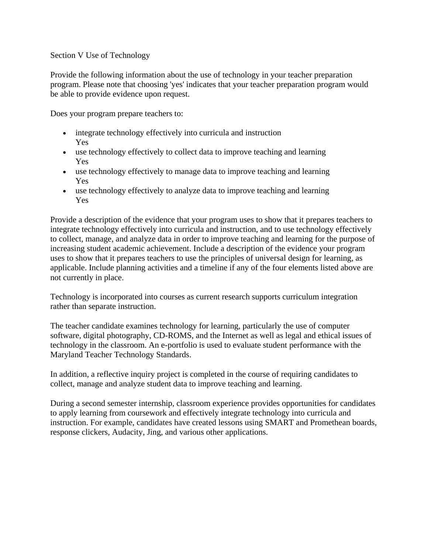#### Section V Use of Technology

Provide the following information about the use of technology in your teacher preparation program. Please note that choosing 'yes' indicates that your teacher preparation program would be able to provide evidence upon request.

Does your program prepare teachers to:

- integrate technology effectively into curricula and instruction Yes
- use technology effectively to collect data to improve teaching and learning Yes
- use technology effectively to manage data to improve teaching and learning Yes
- use technology effectively to analyze data to improve teaching and learning Yes

Provide a description of the evidence that your program uses to show that it prepares teachers to integrate technology effectively into curricula and instruction, and to use technology effectively to collect, manage, and analyze data in order to improve teaching and learning for the purpose of increasing student academic achievement. Include a description of the evidence your program uses to show that it prepares teachers to use the principles of universal design for learning, as applicable. Include planning activities and a timeline if any of the four elements listed above are not currently in place.

Technology is incorporated into courses as current research supports curriculum integration rather than separate instruction.

The teacher candidate examines technology for learning, particularly the use of computer software, digital photography, CD-ROMS, and the Internet as well as legal and ethical issues of technology in the classroom. An e-portfolio is used to evaluate student performance with the Maryland Teacher Technology Standards.

In addition, a reflective inquiry project is completed in the course of requiring candidates to collect, manage and analyze student data to improve teaching and learning.

During a second semester internship, classroom experience provides opportunities for candidates to apply learning from coursework and effectively integrate technology into curricula and instruction. For example, candidates have created lessons using SMART and Promethean boards, response clickers, Audacity, Jing, and various other applications.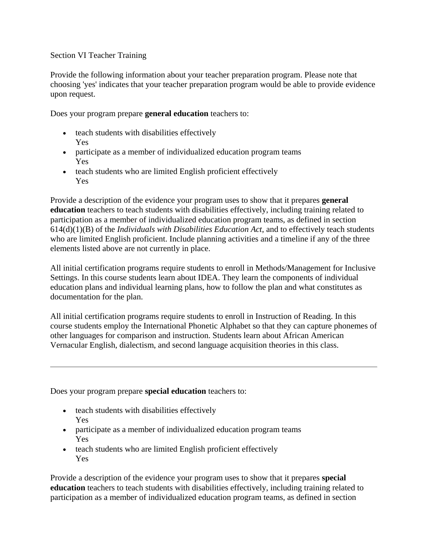#### Section VI Teacher Training

Provide the following information about your teacher preparation program. Please note that choosing 'yes' indicates that your teacher preparation program would be able to provide evidence upon request.

Does your program prepare **general education** teachers to:

- teach students with disabilities effectively Yes
- participate as a member of individualized education program teams Yes
- teach students who are limited English proficient effectively Yes

Provide a description of the evidence your program uses to show that it prepares **general education** teachers to teach students with disabilities effectively, including training related to participation as a member of individualized education program teams, as defined in section 614(d)(1)(B) of the *Individuals with Disabilities Education Act*, and to effectively teach students who are limited English proficient. Include planning activities and a timeline if any of the three elements listed above are not currently in place.

All initial certification programs require students to enroll in Methods/Management for Inclusive Settings. In this course students learn about IDEA. They learn the components of individual education plans and individual learning plans, how to follow the plan and what constitutes as documentation for the plan.

All initial certification programs require students to enroll in Instruction of Reading. In this course students employ the International Phonetic Alphabet so that they can capture phonemes of other languages for comparison and instruction. Students learn about African American Vernacular English, dialectism, and second language acquisition theories in this class.

Does your program prepare **special education** teachers to:

- teach students with disabilities effectively Yes
- participate as a member of individualized education program teams Yes
- teach students who are limited English proficient effectively Yes

Provide a description of the evidence your program uses to show that it prepares **special education** teachers to teach students with disabilities effectively, including training related to participation as a member of individualized education program teams, as defined in section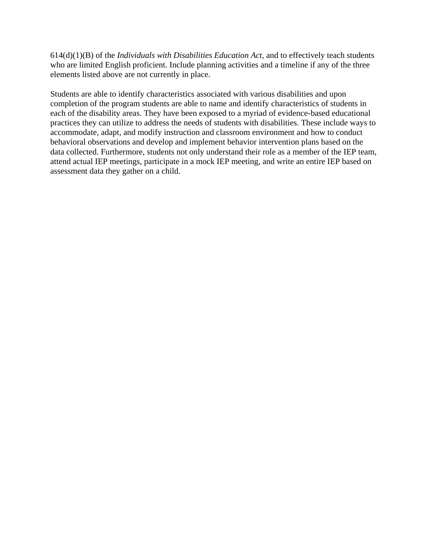614(d)(1)(B) of the *Individuals with Disabilities Education Act*, and to effectively teach students who are limited English proficient. Include planning activities and a timeline if any of the three elements listed above are not currently in place.

Students are able to identify characteristics associated with various disabilities and upon completion of the program students are able to name and identify characteristics of students in each of the disability areas. They have been exposed to a myriad of evidence-based educational practices they can utilize to address the needs of students with disabilities. These include ways to accommodate, adapt, and modify instruction and classroom environment and how to conduct behavioral observations and develop and implement behavior intervention plans based on the data collected. Furthermore, students not only understand their role as a member of the IEP team, attend actual IEP meetings, participate in a mock IEP meeting, and write an entire IEP based on assessment data they gather on a child.